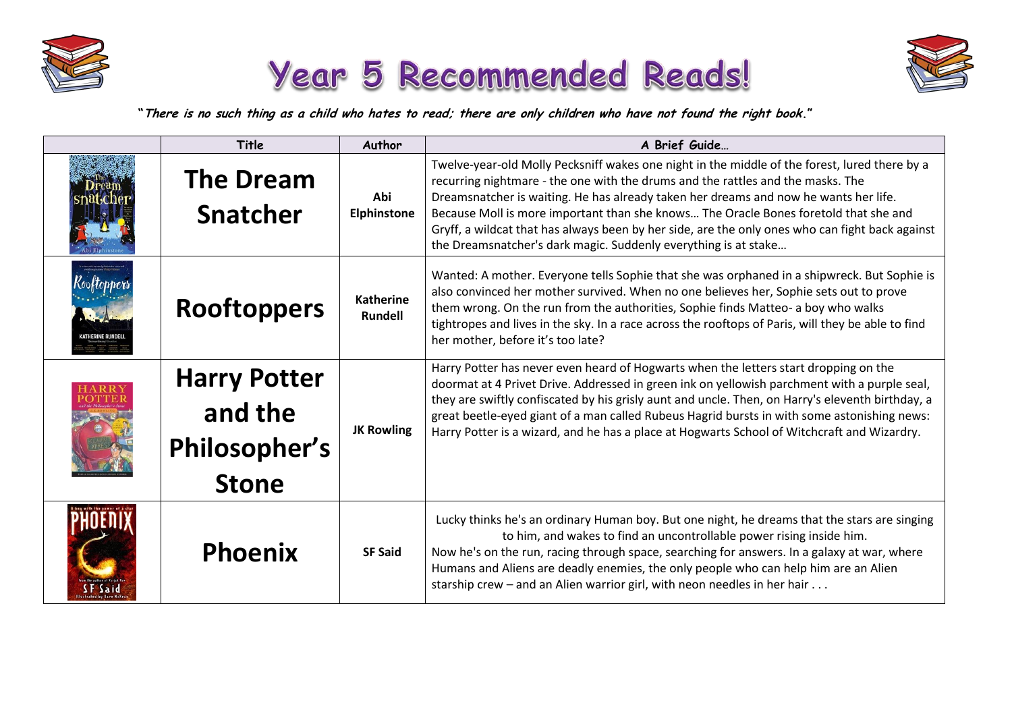





**"There is no such thing as a child who hates to read; there are only children who have not found the right book."**

| Title                                                           | Author                             | A Brief Guide                                                                                                                                                                                                                                                                                                                                                                                                                                                                                                                          |
|-----------------------------------------------------------------|------------------------------------|----------------------------------------------------------------------------------------------------------------------------------------------------------------------------------------------------------------------------------------------------------------------------------------------------------------------------------------------------------------------------------------------------------------------------------------------------------------------------------------------------------------------------------------|
| <b>The Dream</b><br><b>Snatcher</b>                             | Abi<br><b>Elphinstone</b>          | Twelve-year-old Molly Pecksniff wakes one night in the middle of the forest, lured there by a<br>recurring nightmare - the one with the drums and the rattles and the masks. The<br>Dreamsnatcher is waiting. He has already taken her dreams and now he wants her life.<br>Because Moll is more important than she knows The Oracle Bones foretold that she and<br>Gryff, a wildcat that has always been by her side, are the only ones who can fight back against<br>the Dreamsnatcher's dark magic. Suddenly everything is at stake |
| <b>Rooftoppers</b>                                              | <b>Katherine</b><br><b>Rundell</b> | Wanted: A mother. Everyone tells Sophie that she was orphaned in a shipwreck. But Sophie is<br>also convinced her mother survived. When no one believes her, Sophie sets out to prove<br>them wrong. On the run from the authorities, Sophie finds Matteo- a boy who walks<br>tightropes and lives in the sky. In a race across the rooftops of Paris, will they be able to find<br>her mother, before it's too late?                                                                                                                  |
| <b>Harry Potter</b><br>and the<br>Philosopher's<br><b>Stone</b> | <b>JK Rowling</b>                  | Harry Potter has never even heard of Hogwarts when the letters start dropping on the<br>doormat at 4 Privet Drive. Addressed in green ink on yellowish parchment with a purple seal,<br>they are swiftly confiscated by his grisly aunt and uncle. Then, on Harry's eleventh birthday, a<br>great beetle-eyed giant of a man called Rubeus Hagrid bursts in with some astonishing news:<br>Harry Potter is a wizard, and he has a place at Hogwarts School of Witchcraft and Wizardry.                                                 |
| <b>Phoenix</b>                                                  | <b>SF Said</b>                     | Lucky thinks he's an ordinary Human boy. But one night, he dreams that the stars are singing<br>to him, and wakes to find an uncontrollable power rising inside him.<br>Now he's on the run, racing through space, searching for answers. In a galaxy at war, where<br>Humans and Aliens are deadly enemies, the only people who can help him are an Alien<br>starship crew - and an Alien warrior girl, with neon needles in her hair                                                                                                 |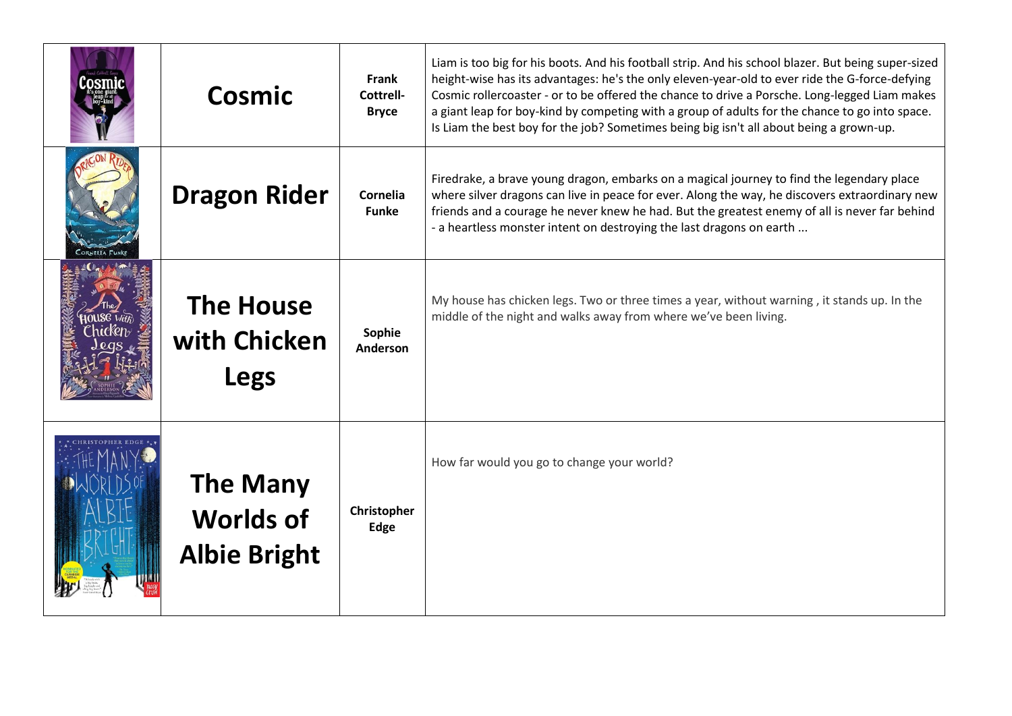| Cosmic                                                     | <b>Frank</b><br>Cottrell-<br><b>Bryce</b> | Liam is too big for his boots. And his football strip. And his school blazer. But being super-sized<br>height-wise has its advantages: he's the only eleven-year-old to ever ride the G-force-defying<br>Cosmic rollercoaster - or to be offered the chance to drive a Porsche. Long-legged Liam makes<br>a giant leap for boy-kind by competing with a group of adults for the chance to go into space.<br>Is Liam the best boy for the job? Sometimes being big isn't all about being a grown-up. |
|------------------------------------------------------------|-------------------------------------------|-----------------------------------------------------------------------------------------------------------------------------------------------------------------------------------------------------------------------------------------------------------------------------------------------------------------------------------------------------------------------------------------------------------------------------------------------------------------------------------------------------|
| <b>Dragon Rider</b>                                        | Cornelia<br><b>Funke</b>                  | Firedrake, a brave young dragon, embarks on a magical journey to find the legendary place<br>where silver dragons can live in peace for ever. Along the way, he discovers extraordinary new<br>friends and a courage he never knew he had. But the greatest enemy of all is never far behind<br>- a heartless monster intent on destroying the last dragons on earth                                                                                                                                |
| <b>The House</b><br>with Chicken<br><b>Legs</b>            | Sophie<br>Anderson                        | My house has chicken legs. Two or three times a year, without warning, it stands up. In the<br>middle of the night and walks away from where we've been living.                                                                                                                                                                                                                                                                                                                                     |
| <b>The Many</b><br><b>Worlds of</b><br><b>Albie Bright</b> | Christopher<br>Edge                       | How far would you go to change your world?                                                                                                                                                                                                                                                                                                                                                                                                                                                          |